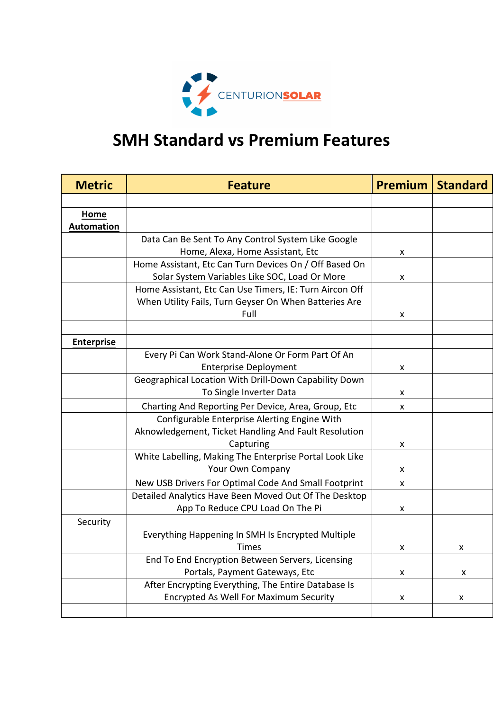

## **SMH Standard vs Premium Features**

| <b>Metric</b>                    | <b>Feature</b>                                          | Premium | <b>Standard</b> |
|----------------------------------|---------------------------------------------------------|---------|-----------------|
|                                  |                                                         |         |                 |
| <b>Home</b><br><b>Automation</b> |                                                         |         |                 |
|                                  | Data Can Be Sent To Any Control System Like Google      |         |                 |
|                                  | Home, Alexa, Home Assistant, Etc                        | x       |                 |
|                                  | Home Assistant, Etc Can Turn Devices On / Off Based On  |         |                 |
|                                  | Solar System Variables Like SOC, Load Or More           | x       |                 |
|                                  | Home Assistant, Etc Can Use Timers, IE: Turn Aircon Off |         |                 |
|                                  | When Utility Fails, Turn Geyser On When Batteries Are   |         |                 |
|                                  | Full                                                    | X       |                 |
|                                  |                                                         |         |                 |
| <b>Enterprise</b>                |                                                         |         |                 |
|                                  | Every Pi Can Work Stand-Alone Or Form Part Of An        |         |                 |
|                                  | <b>Enterprise Deployment</b>                            | x       |                 |
|                                  | Geographical Location With Drill-Down Capability Down   |         |                 |
|                                  | To Single Inverter Data                                 | x       |                 |
|                                  | Charting And Reporting Per Device, Area, Group, Etc     | X       |                 |
|                                  | Configurable Enterprise Alerting Engine With            |         |                 |
|                                  | Aknowledgement, Ticket Handling And Fault Resolution    |         |                 |
|                                  | Capturing                                               | x       |                 |
|                                  | White Labelling, Making The Enterprise Portal Look Like |         |                 |
|                                  | Your Own Company                                        | x       |                 |
|                                  | New USB Drivers For Optimal Code And Small Footprint    | X       |                 |
|                                  | Detailed Analytics Have Been Moved Out Of The Desktop   |         |                 |
|                                  | App To Reduce CPU Load On The Pi                        | x       |                 |
| Security                         |                                                         |         |                 |
|                                  | Everything Happening In SMH Is Encrypted Multiple       |         |                 |
|                                  | Times                                                   | X       | X               |
|                                  | End To End Encryption Between Servers, Licensing        |         |                 |
|                                  | Portals, Payment Gateways, Etc                          | X       | X               |
|                                  | After Encrypting Everything, The Entire Database Is     |         |                 |
|                                  | <b>Encrypted As Well For Maximum Security</b>           | X       | X               |
|                                  |                                                         |         |                 |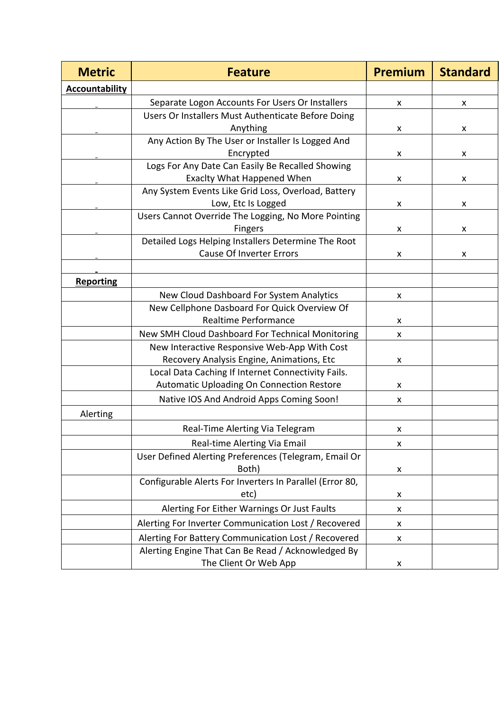| <b>Metric</b>         | <b>Feature</b>                                                                                            | <b>Premium</b> | <b>Standard</b> |
|-----------------------|-----------------------------------------------------------------------------------------------------------|----------------|-----------------|
| <b>Accountability</b> |                                                                                                           |                |                 |
|                       | Separate Logon Accounts For Users Or Installers                                                           | X              | X               |
|                       | Users Or Installers Must Authenticate Before Doing                                                        |                |                 |
|                       | Anything                                                                                                  | x              | X               |
|                       | Any Action By The User or Installer Is Logged And                                                         |                |                 |
|                       | Encrypted                                                                                                 | X              | X               |
|                       | Logs For Any Date Can Easily Be Recalled Showing                                                          |                |                 |
|                       | <b>Exaclty What Happened When</b>                                                                         | X              | X               |
|                       | Any System Events Like Grid Loss, Overload, Battery                                                       |                |                 |
|                       | Low, Etc Is Logged                                                                                        | X              | X               |
|                       | Users Cannot Override The Logging, No More Pointing                                                       |                |                 |
|                       | <b>Fingers</b>                                                                                            | X              | X               |
|                       | Detailed Logs Helping Installers Determine The Root<br><b>Cause Of Inverter Errors</b>                    |                |                 |
|                       |                                                                                                           | X              | X               |
|                       |                                                                                                           |                |                 |
| <b>Reporting</b>      |                                                                                                           |                |                 |
|                       | New Cloud Dashboard For System Analytics<br>New Cellphone Dasboard For Quick Overview Of                  | X              |                 |
|                       | <b>Realtime Performance</b>                                                                               | X              |                 |
|                       | New SMH Cloud Dashboard For Technical Monitoring                                                          | x              |                 |
|                       | New Interactive Responsive Web-App With Cost                                                              |                |                 |
|                       | Recovery Analysis Engine, Animations, Etc                                                                 | x              |                 |
|                       | Local Data Caching If Internet Connectivity Fails.                                                        |                |                 |
|                       | <b>Automatic Uploading On Connection Restore</b>                                                          | X              |                 |
|                       | Native IOS And Android Apps Coming Soon!                                                                  | X              |                 |
| Alerting              |                                                                                                           |                |                 |
|                       | Real-Time Alerting Via Telegram                                                                           |                |                 |
|                       |                                                                                                           | X              |                 |
|                       | Real-time Alerting Via Email                                                                              | X              |                 |
|                       | User Defined Alerting Preferences (Telegram, Email Or<br>Both)                                            | X              |                 |
|                       | Configurable Alerts For Inverters In Parallel (Error 80,                                                  |                |                 |
|                       | etc)                                                                                                      | X              |                 |
|                       | Alerting For Either Warnings Or Just Faults                                                               | X              |                 |
|                       | Alerting For Inverter Communication Lost / Recovered                                                      | X              |                 |
|                       |                                                                                                           |                |                 |
|                       | Alerting For Battery Communication Lost / Recovered<br>Alerting Engine That Can Be Read / Acknowledged By | X              |                 |
|                       | The Client Or Web App                                                                                     | X              |                 |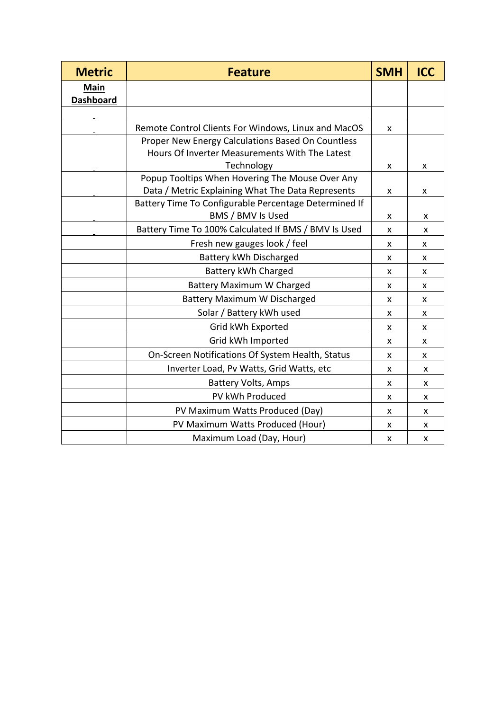| <b>Metric</b>            | <b>Feature</b>                                        | <b>SMH</b> | <b>ICC</b> |
|--------------------------|-------------------------------------------------------|------------|------------|
| Main<br><b>Dashboard</b> |                                                       |            |            |
|                          |                                                       |            |            |
|                          | Remote Control Clients For Windows, Linux and MacOS   | X          |            |
|                          | Proper New Energy Calculations Based On Countless     |            |            |
|                          | Hours Of Inverter Measurements With The Latest        |            |            |
|                          | Technology                                            | X          | X          |
|                          | Popup Tooltips When Hovering The Mouse Over Any       |            |            |
|                          | Data / Metric Explaining What The Data Represents     | x          | x          |
|                          | Battery Time To Configurable Percentage Determined If |            |            |
|                          | BMS / BMV Is Used                                     | x          | x          |
|                          | Battery Time To 100% Calculated If BMS / BMV Is Used  | x          | X          |
|                          | Fresh new gauges look / feel                          | x          | x          |
|                          | Battery kWh Discharged                                | x          | x          |
|                          | Battery kWh Charged                                   | X          | X          |
|                          | <b>Battery Maximum W Charged</b>                      |            | X          |
|                          | Battery Maximum W Discharged                          |            | x          |
|                          | Solar / Battery kWh used                              |            | x          |
|                          | Grid kWh Exported                                     | X          | x          |
|                          | Grid kWh Imported                                     | X          | X          |
|                          | On-Screen Notifications Of System Health, Status      | x          | X          |
|                          | Inverter Load, Pv Watts, Grid Watts, etc              | x          | X          |
|                          | <b>Battery Volts, Amps</b>                            | x          | x          |
|                          | PV kWh Produced                                       | X          | x          |
|                          | PV Maximum Watts Produced (Day)                       | X          | X          |
|                          | PV Maximum Watts Produced (Hour)                      | X          | X          |
|                          | Maximum Load (Day, Hour)                              | X          | x          |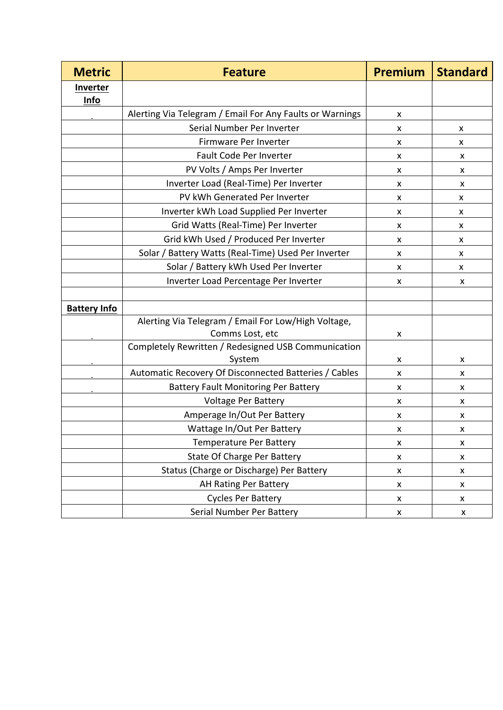| <b>Metric</b>       | <b>Feature</b>                                                         | <b>Premium</b>     | <b>Standard</b> |
|---------------------|------------------------------------------------------------------------|--------------------|-----------------|
| <b>Inverter</b>     |                                                                        |                    |                 |
| Info                |                                                                        |                    |                 |
|                     | Alerting Via Telegram / Email For Any Faults or Warnings               | X                  |                 |
|                     | Serial Number Per Inverter                                             | X                  | x               |
|                     | Firmware Per Inverter                                                  | X                  | X.              |
|                     | Fault Code Per Inverter                                                | X                  | x               |
|                     | PV Volts / Amps Per Inverter                                           | X                  | X               |
|                     | Inverter Load (Real-Time) Per Inverter                                 | X                  | x               |
|                     | PV kWh Generated Per Inverter                                          | X                  | X.              |
|                     | Inverter kWh Load Supplied Per Inverter                                | X                  | X.              |
|                     | Grid Watts (Real-Time) Per Inverter                                    | X                  | x               |
|                     | Grid kWh Used / Produced Per Inverter                                  | X                  | x               |
|                     | Solar / Battery Watts (Real-Time) Used Per Inverter                    | X                  | x               |
|                     | Solar / Battery kWh Used Per Inverter                                  | X                  | X.              |
|                     | Inverter Load Percentage Per Inverter                                  | X                  | x               |
| <b>Battery Info</b> |                                                                        |                    |                 |
|                     | Alerting Via Telegram / Email For Low/High Voltage,<br>Comms Lost, etc | X                  |                 |
|                     | Completely Rewritten / Redesigned USB Communication<br>System          | x                  | x               |
|                     | Automatic Recovery Of Disconnected Batteries / Cables                  | X                  | X               |
|                     | <b>Battery Fault Monitoring Per Battery</b>                            | x                  | x               |
|                     | <b>Voltage Per Battery</b>                                             | X                  | X               |
|                     | Amperage In/Out Per Battery                                            | X                  | x               |
|                     | Wattage In/Out Per Battery                                             | x                  | x               |
|                     | <b>Temperature Per Battery</b>                                         | $\pmb{\mathsf{x}}$ | X               |
|                     | State Of Charge Per Battery                                            | X                  | X               |
|                     | Status (Charge or Discharge) Per Battery                               | X                  | X               |
|                     | AH Rating Per Battery                                                  | $\pmb{\mathsf{x}}$ | X               |
|                     | <b>Cycles Per Battery</b>                                              | X                  | X               |
|                     | Serial Number Per Battery                                              | X                  | X               |